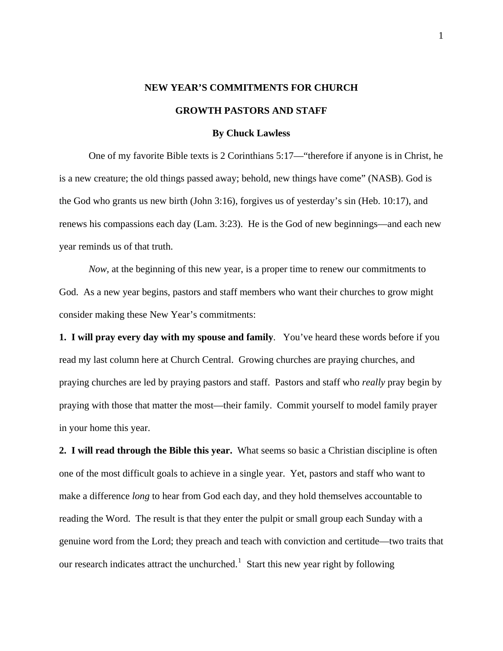## **NEW YEAR'S COMMITMENTS FOR CHURCH GROWTH PASTORS AND STAFF**

## **By Chuck Lawless**

 One of my favorite Bible texts is 2 Corinthians 5:17—"therefore if anyone is in Christ, he is a new creature; the old things passed away; behold, new things have come" (NASB). God is the God who grants us new birth (John 3:16), forgives us of yesterday's sin (Heb. 10:17), and renews his compassions each day (Lam. 3:23). He is the God of new beginnings—and each new year reminds us of that truth.

*Now,* at the beginning of this new year, is a proper time to renew our commitments to God. As a new year begins, pastors and staff members who want their churches to grow might consider making these New Year's commitments:

**1. I will pray every day with my spouse and family**. You've heard these words before if you read my last column here at Church Central. Growing churches are praying churches, and praying churches are led by praying pastors and staff. Pastors and staff who *really* pray begin by praying with those that matter the most—their family. Commit yourself to model family prayer in your home this year.

**2. I will read through the Bible this year.** What seems so basic a Christian discipline is often one of the most difficult goals to achieve in a single year. Yet, pastors and staff who want to make a difference *long* to hear from God each day, and they hold themselves accountable to reading the Word. The result is that they enter the pulpit or small group each Sunday with a genuine word from the Lord; they preach and teach with conviction and certitude—two traits that our research indicates attract the unchurched.<sup>[1](#page-3-0)</sup> Start this new year right by following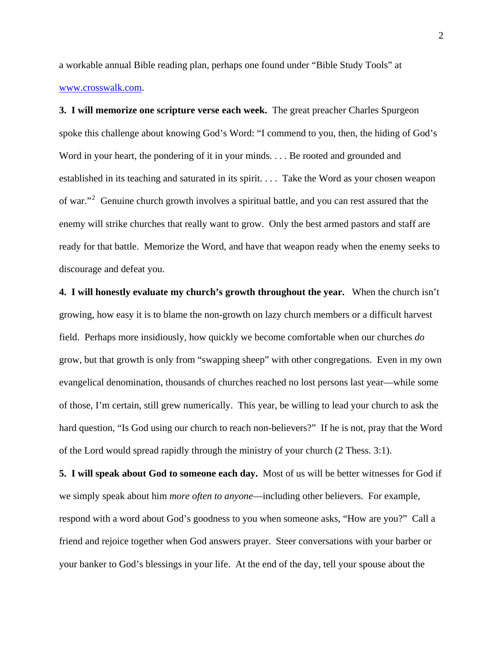a workable annual Bible reading plan, perhaps one found under "Bible Study Tools" at [www.crosswalk.com.](http://www.crosswalk.com/)

**3. I will memorize one scripture verse each week.** The great preacher Charles Spurgeon spoke this challenge about knowing God's Word: "I commend to you, then, the hiding of God's Word in your heart, the pondering of it in your minds. . . . Be rooted and grounded and established in its teaching and saturated in its spirit. . . . Take the Word as your chosen weapon of war."<sup>[2](#page-3-1)</sup> Genuine church growth involves a spiritual battle, and you can rest assured that the enemy will strike churches that really want to grow. Only the best armed pastors and staff are ready for that battle. Memorize the Word, and have that weapon ready when the enemy seeks to discourage and defeat you.

**4. I will honestly evaluate my church's growth throughout the year.** When the church isn't growing, how easy it is to blame the non-growth on lazy church members or a difficult harvest field. Perhaps more insidiously, how quickly we become comfortable when our churches *do*  grow, but that growth is only from "swapping sheep" with other congregations. Even in my own evangelical denomination, thousands of churches reached no lost persons last year—while some of those, I'm certain, still grew numerically. This year, be willing to lead your church to ask the hard question, "Is God using our church to reach non-believers?" If he is not, pray that the Word of the Lord would spread rapidly through the ministry of your church (2 Thess. 3:1).

**5. I will speak about God to someone each day.** Most of us will be better witnesses for God if we simply speak about him *more often to anyone*—including other believers. For example, respond with a word about God's goodness to you when someone asks, "How are you?" Call a friend and rejoice together when God answers prayer. Steer conversations with your barber or your banker to God's blessings in your life. At the end of the day, tell your spouse about the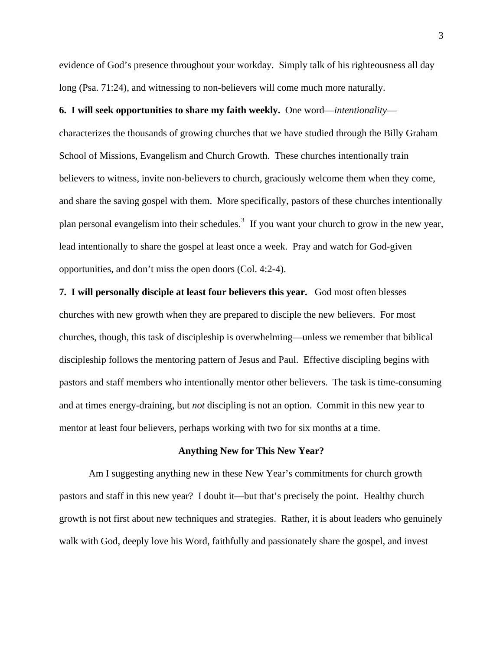evidence of God's presence throughout your workday. Simply talk of his righteousness all day long (Psa. 71:24), and witnessing to non-believers will come much more naturally.

## **6. I will seek opportunities to share my faith weekly.** One word—*intentionality*—

characterizes the thousands of growing churches that we have studied through the Billy Graham School of Missions, Evangelism and Church Growth. These churches intentionally train believers to witness, invite non-believers to church, graciously welcome them when they come, and share the saving gospel with them. More specifically, pastors of these churches intentionally plan personal evangelism into their schedules.<sup>[3](#page-3-1)</sup> If you want your church to grow in the new year, lead intentionally to share the gospel at least once a week. Pray and watch for God-given opportunities, and don't miss the open doors (Col. 4:2-4).

**7. I will personally disciple at least four believers this year.** God most often blesses churches with new growth when they are prepared to disciple the new believers. For most churches, though, this task of discipleship is overwhelming—unless we remember that biblical discipleship follows the mentoring pattern of Jesus and Paul. Effective discipling begins with pastors and staff members who intentionally mentor other believers. The task is time-consuming and at times energy-draining, but *not* discipling is not an option. Commit in this new year to mentor at least four believers, perhaps working with two for six months at a time.

## **Anything New for This New Year?**

Am I suggesting anything new in these New Year's commitments for church growth pastors and staff in this new year? I doubt it—but that's precisely the point. Healthy church growth is not first about new techniques and strategies. Rather, it is about leaders who genuinely walk with God, deeply love his Word, faithfully and passionately share the gospel, and invest